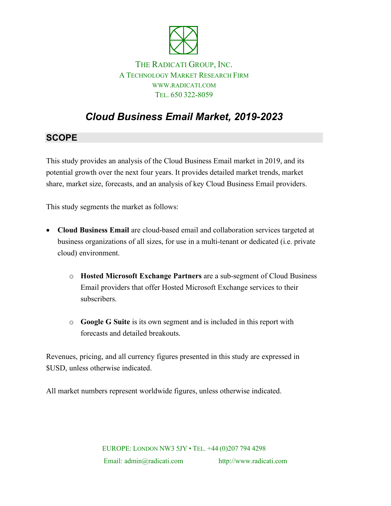

### THE RADICATI GROUP, INC. A TECHNOLOGY MARKET RESEARCH FIRM WWW.RADICATI.COM TEL. 650 322-8059

# *Cloud Business Email Market, 2019-2023*

## **SCOPE**

This study provides an analysis of the Cloud Business Email market in 2019, and its potential growth over the next four years. It provides detailed market trends, market share, market size, forecasts, and an analysis of key Cloud Business Email providers.

This study segments the market as follows:

- **Cloud Business Email** are cloud-based email and collaboration services targeted at business organizations of all sizes, for use in a multi-tenant or dedicated (i.e. private cloud) environment.
	- o **Hosted Microsoft Exchange Partners** are a sub-segment of Cloud Business Email providers that offer Hosted Microsoft Exchange services to their subscribers.
	- o **Google G Suite** is its own segment and is included in this report with forecasts and detailed breakouts.

Revenues, pricing, and all currency figures presented in this study are expressed in \$USD, unless otherwise indicated.

All market numbers represent worldwide figures, unless otherwise indicated.

EUROPE: LONDON NW3 5JY • TEL. +44 (0)207 794 4298 Email: admin@radicati.com http://www.radicati.com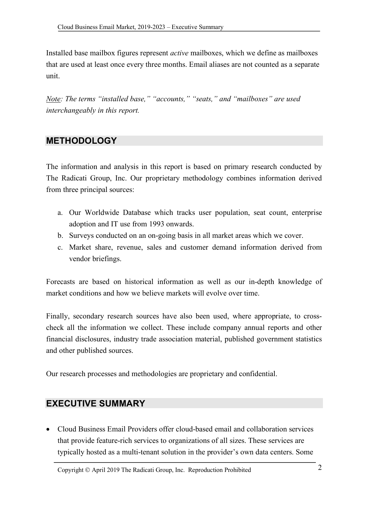Installed base mailbox figures represent *active* mailboxes, which we define as mailboxes that are used at least once every three months. Email aliases are not counted as a separate unit.

*Note: The terms "installed base," "accounts," "seats," and "mailboxes" are used interchangeably in this report.*

#### **METHODOLOGY**

The information and analysis in this report is based on primary research conducted by The Radicati Group, Inc. Our proprietary methodology combines information derived from three principal sources:

- a. Our Worldwide Database which tracks user population, seat count, enterprise adoption and IT use from 1993 onwards.
- b. Surveys conducted on an on-going basis in all market areas which we cover.
- c. Market share, revenue, sales and customer demand information derived from vendor briefings.

Forecasts are based on historical information as well as our in-depth knowledge of market conditions and how we believe markets will evolve over time.

Finally, secondary research sources have also been used, where appropriate, to crosscheck all the information we collect. These include company annual reports and other financial disclosures, industry trade association material, published government statistics and other published sources.

Our research processes and methodologies are proprietary and confidential.

## **EXECUTIVE SUMMARY**

• Cloud Business Email Providers offer cloud-based email and collaboration services that provide feature-rich services to organizations of all sizes. These services are typically hosted as a multi-tenant solution in the provider's own data centers. Some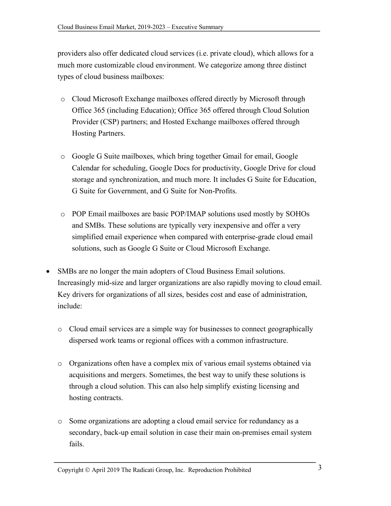providers also offer dedicated cloud services (i.e. private cloud), which allows for a much more customizable cloud environment. We categorize among three distinct types of cloud business mailboxes:

- o Cloud Microsoft Exchange mailboxes offered directly by Microsoft through Office 365 (including Education); Office 365 offered through Cloud Solution Provider (CSP) partners; and Hosted Exchange mailboxes offered through Hosting Partners.
- o Google G Suite mailboxes, which bring together Gmail for email, Google Calendar for scheduling, Google Docs for productivity, Google Drive for cloud storage and synchronization, and much more. It includes G Suite for Education, G Suite for Government, and G Suite for Non-Profits.
- o POP Email mailboxes are basic POP/IMAP solutions used mostly by SOHOs and SMBs. These solutions are typically very inexpensive and offer a very simplified email experience when compared with enterprise-grade cloud email solutions, such as Google G Suite or Cloud Microsoft Exchange.
- SMBs are no longer the main adopters of Cloud Business Email solutions. Increasingly mid-size and larger organizations are also rapidly moving to cloud email. Key drivers for organizations of all sizes, besides cost and ease of administration, include:
	- o Cloud email services are a simple way for businesses to connect geographically dispersed work teams or regional offices with a common infrastructure.
	- o Organizations often have a complex mix of various email systems obtained via acquisitions and mergers. Sometimes, the best way to unify these solutions is through a cloud solution. This can also help simplify existing licensing and hosting contracts.
	- o Some organizations are adopting a cloud email service for redundancy as a secondary, back-up email solution in case their main on-premises email system fails.